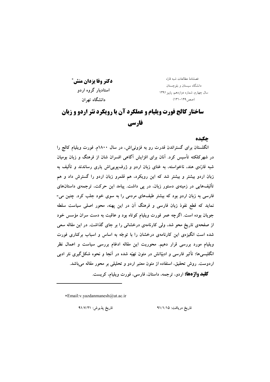دكتر وفا يزدان منش\* استادبار گروه اردو دانشگاه ته ان

فصلنامهٔ مطالعات شبه قارَه دانشگاه سیستان و بلوچستان سال چهارم، شماره دوازدهم، ياييز ١٣٩١  $(141 - 149, \infty)$ 

# ساختار کالج فورت ویلیام و عملکرد آن با رویکرد نثر اردو و زبان فارسي

#### حكىده

انگلستان برای گستراندن قدرت رو به فزونی اش، در سال ۱۸۰۰م. فورت ویلیام کالج را در شهرکلکته تأسیس کرد. آنان برای افزایش آگاهی افسران شان از فرهنگ و زبان بومیان شبه قارّهی هند، ناخواسته، به غنای زبان اردو و ژرف یویی اش پاری رساندند و تألیف به زبان اردو بیشتر و بیشتر شد که این رویکرد، هم قلمرو زبان اردو را گسترش داد و هم تألیفهایی در زمینهی دستور زبان، در پی داشت. پیامد این حرکت، ترجمهی داستانهای فارسی به زبان اردو بود که بیشتر طیفهای مردمی را به سوی خود جلب کرد. چنین می-نماید که قطع نفوذ زبان فارسی و فرهنگ آن در این یهنه، محور اصلی سیاست سلطه جویان بوده است. اگرچه عمر فورت ویلیام کوتاه بود و عاقبت به دست سران مؤسس خود از صفحهی تاریخ محو شد. ولی کارنامهی درخشانی را بر جای گذاشت. در این مقاله سعی شده است انگیزهی این کارنامهی درخشان را با توجّه به اساس و اسباب برکناری فورت ویلیام مورد بررسی قرار دهیم. محوریت این مقاله ادغام بررسی سیاست و اعمال نظر انگلیسیها؛ تأثیر فارسی و ادبیّاتش در متون تهیّه شده در آنجا و نحوه شکل گیری نثر ادبی اردوست. روش تحقیق، استفاده از متون معتبر اردو و تحلیلی بر محور مقاله می باشد.

**کلید واژهها:** اردو، ترجمه، داستان، فارسی، فورت ویلیام، کریست.

\*Email:v.yazdanmanesh@ut.ac.ir

تاريخ پذيرش: ٩١/٧/٢١

تاریخ دریافت: ۹۱/۱/۱۵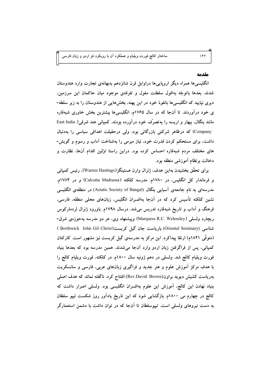### مقدمه

انگلیسیها همراه دیگر اروپاییها دراوایل قرن شانزدهم بهبهانهی تجارت وارد هندوستان شدند. بعدها باتوجّه بهافول سلطنت مغول و تفرقهی موجود میان حاکمان این سرزمین، دیری نپایید که انگلیسیها بانفوذ خود در این پهنه، بخشهایی از هندوستان را به زیر سلطه-ی خود دراوردند. تا انجا که در سال ۱۷۶۵م، انگلیسیها بیشترین بخش خاوری شبهقاره East India **), 5/ c?( .\* -0 \*; 8fg - ) 5 5 2** Company) که درظاهر شرکتی بازرگانی بود، ولی درحقیقت اهدافی سیاسی را بهدنبال داشت، برای مستحکم کردن قدرت خود، نیاز مبرمی را بهشناخت آداب و رسوم و گویش-های مختلف مردم شبهقاره احساس کرده بود. دراین راستا اوّلین اقدام انها، نظارت و دخالت برنظام آموزشی منطقه بود.

برای تحقّق بخشیدن بهاین هدف، ژنرال وارن هستینگز(Warren Hastings)، رئیس کمپانی **.\$1784 - (**Calcutta Madrassa**) +( 2 .\$1780 -) V( 2 -** مدرسهای به نام جامعهی آسیایی بنگال (Asiatic Society of Bangal) در منطقهی انگلیسی نشین کلکته تأسیس کرد که در آنجا بهافسران انگلیس، زبانهای محلی منطقه، فارسی، فرهنگ و اداب و تاریخ شبهقاره تدریس میشد. درسال ۱۷۹۸م. باورود ژنرال لردمارکوس ریچارد ولسل*ی (*Marquess R.C. Welessley) وپیشنهاد وی، هر دو مدرسه بهحوزهی شرق-شناسی (Oriental Seminary) باریاست جان گیل کریست(Borthwick John Gil Christ ) (متوفی ۱۸۴۱م) ارتقا پیداکرد. این مرکز به مدرسهی گیل کریست نیز مشهور است. کارکنان کمپانی، پس از فراگرفتن زبان اردو وارد انجا میشدند. همین مدرسه بود که بعدها بنیاد فورت ویلیام کالج شد. ولسلی در دهم ژوئیه سال ۱۸۰۰م. در کلکته، فورت ویلیام کالج را با هدف مرکز اموزش علوم و هنر جدید و فراگیری زبانهای عربی، فارسی و سانسکریت بهریاست کشیش دیوید براون(Rev.David Brown) افتتاح کرد. ناگفته نماند که هدف اصلی بنیاد نهادن این کالج، اموزش این علوم بهافسران انگلیسی بود. ولسلی اصرار داشت که کالج در چهارم می ۱۸۰۰م. بازگشایی شود که این تاریخ یاداور روز شکست تیپو سلطان به دست نیروهای ولسلی است. تیپوسلطان تا انجا که در توان داشت با دشمن استعمارگر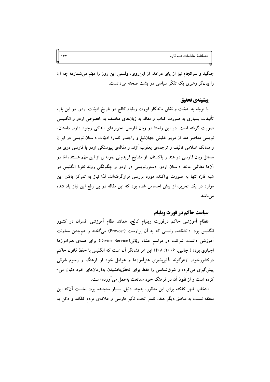فصلنامة مطالعات شبه قاره

جنگید و سرانجام نیز از پای درآمد. از این٫وی، ولسلی این روز را مهّم میشمارد؛ چه آن را بیانگر رهبری یک تفکّر سیاسی در پشت صحنه می دانست.

#### يتشينهي تحقيق

با توجّه به اهمّیت و نقش ماندگار فورت ویلیام کالج در تاریخ ادبیّات اردو، در این باره تألیفات بسیاری به صورت کتاب و مقاله به زبانهای مختلف به خصوص اردو و انگلیسی صورت گرفته است. در این راستا در زبان فارسی تحریرهای اندکی وجود دارد. داستان-نویسی معاصر هند از مریم خلیلی جهانتیغ و راجندر کمار؛ ادبیّات داستان نویسی در ایران و ممالک اسلامی تألیف و ترجمهی یعقوب آژند و مقالهی پیوستگی اردو با فارسی دری در مسائل زبان فارسی در هند و پاکستان از مشایخ فریدونی نمونهای از این مهّم هستند، امّا در آنها مطالبی مانند داستان اردو، دستورنویسی در اردو و چگونگی روند نفوذ انگلیس در شبه قارّه تنها به صورت پراکنده مورد بررسی قرارگرفتهاند. لذا نیاز به تمرکز یافتن این موارد در یک تحریر، از پیش احساس شده بود که این مقاله در پی رفع این نیاز یاد شده می باشد.

#### سیاست حاکم در فورت ویلیام

«نظام أموزشي حاكم درفورت ويليام كالج، همانند نظام أموزشي افسران در كشور انگلیس بود. دانشکده، رئیسی که به آن پراوست (Provost) میگفتند و همچنین معاونت آموزشی داشت. شرکت در مراسم عشاء ربّانی(Divine Service) برای همهی هنرآموزها اجباری بود» ( جالبی، ۲۰۰۶: ۴۰۸) این امر نشانگر آن است که انگلیس با حفظ قانون حاکم درکشورخود، ازهرگونه تأثیرپذیری هنرآموزها و عوامل خود از فرهنگ و رسوم شرقی پیشگیری میکرده و شرقشناسی را فقط برای تحقّقبخشیدن بهآرمانهای خود دنبال می-کرده است و از نفوذ آن در فرهنگ خود ممانعت بهعمل می آورده است.

انتخاب شهر کلکته برای این منظور، بهچند دلیل، بسیار سنجیده بود؛ نخست آنکه این منطقه نسبت به مناطق دیگر هند، کمتر تحت تأثیر فارسی و علاقهی مردم کلکته و دکن به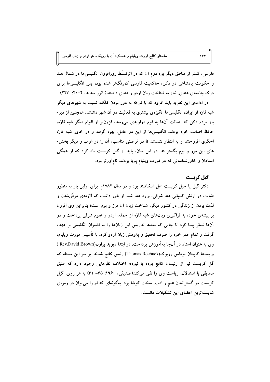فارسی، کمتر از مناطق دیگر بود دوم آن که در اثرتسلّط روزافزون انگلیسیها در شمال هند و حکومت پادشاهی در دکن، حاکمیت فارسی کمرنگتر شده بود؛ پس انگلیسیها برای درک جامعهی هندی، نیاز به شناخت زبان اردو و هندی داشتند( انور سدید، ۲۰۰۴: ۲۲۳)

در ادامهی این نظریه باید افزود که با توجّه به دور بودن کلکته نسبت به شهرهای دیگر شبه قارّه از ایران، انگلیسیها انگیزهی بیشتری به فعّالیت در آن شهر داشتند. همچنین از دیر-باز مردم دکن که اصالت آنها به قوم دراویدی میرسد، فزونتر از اقوام دیگر شبه قارّه، حافظ اصالت خود بودند. انگلیسیها از این دو عامل، بهره گرفته و در خاور شبه قارّه اخگری افروختند و به انتظار نشستند تا در فرصتی مناسب، آن را در غرب و دیگر بخش-های این مرز و بوم بگسترانند. در این میان، باید از گیل کریست یاد کرد که از همگی استادان و خاورشناسانی که در فورت ویلیام پویا بودند، نامآورتر بود.

## گیل کریست

دکتر گیل یا جیل کریست اهل اسکاتلند بود و در سال ۱۷۸۲م. برای اوّلین بار به منظور طبابت در ارتش کمپانی هند شرقی، وارد هند شد. او باور داشت که لازمهی موفّقشدن و لذَّت بردن از زندگی در کشور دیگر، شناخت زبان آن مرز و بوم است؛ بنابراین وی افزون بر پیشهی خود، به فراگیری زبانهای شبه قارّه از جمله، اردو و علوم شرقی پرداخت و در آنها تبحّر پیدا کرد تا جایی که بعدها تدریس این زبانها را به افسران انگلیسی بر عهده گرفت و تمام عمر خود را صرف تحقیق و پژوهش زبان اردو کرد. با تأسیس فورت ویلیام، وی به عنوان استاد در آنجا به آموزش پرداخت. در ابتدا دیوید براون(Rev.David Brown ) و بعدها کاپیتان توماس روبوک(Thomas Roebuck) رئیس کالج شدند. بر سر این مسئله که گل کریست نیز از رئیسان کالج بوده یا نبوده؛ اختلاف نظرهایی وجود دارد که عتیق صدیقی با استدلال، ریاست وی را نفی میکند(صدیقی، ۱۹۶۰: ۳۵– ۳۱) به هر روی، گیل کریست در گسترانیدن علم و ادب، سخت کوشا بود. بهگونهای که او را می توان در زمرهی شايسته ترين اعضاي اين تشكيلات دانست.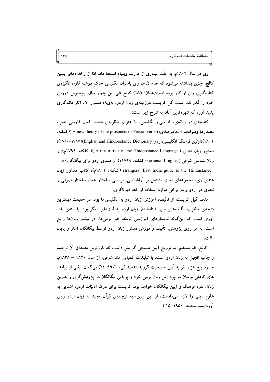وی در سال ۱۸۰۴م. به علَّت بیماری از فورت ویلیام استعفا داد، امّا از رخدادهای پسین کالج، چنین پنداشته میشود که عدم تفاهم وی باسران انگلیسی حاکم درشبه قارّه، انگیزهی کنارهگیری وی از کار بوده است(همان: ۱۸۵) کالج طی این چهار سال، پویاترین دورهی خود را گذرانده است. گل کریست درزمینهی زبان اردو، بهویژه دستور آن، آثار ماندگاری یدید آورد که شهرهترین آنان به شرح زیر است:

کتابچهی دو زبانهی، فارسی و انگلیسی، با عنوان «نظریهی جدید افعال فارسی همراه مصدرها ومترادف آنهادرهندي» (A new theory of the prospects of Persianverbs )(كلكته، ۱۸۰۱)؛اوَلِس فرهنگ انگلیسی،ار دو (English and Hindoostanee Dictionary)؛ (۱۷۹۰–۱۷۹۰)؛ دستور زبان هندی ( A Grammar of the Hindoostanee Language )( كلكته، ۱۷۹۶م)؛ و زبان شناسی شرقی (oriental Linguist) (کلکته، ۱۷۹۸م)؛ راهنمای اردو برای بیگانگان) The strangers' East India guide to the Hindustanee (كلكته، ١٨٠١م)؛ كتاب دستور زبان هندی وی، مجموعهای است مشتمل بر آواشناسی، بررسی ساختار هجا، ساختار صرفی و نحوی در اردو و در برخی موارد استفاده از خط دیوناگری.

هدف گیل کریست از تألیف، آموزش زبان اردو به انگلیسیها بود. در حقیقت مهمترین نتیجهی مطلوب تألیفهای وی، شناساندن زبان اردو بهملّیتهای دیگر بود. بایستهی یاد-آوری است که اینگونه نوشتارهای آموزشی توسّط غیر بومیها، در بیشتر زبانها رایج است. به هر روی پژوهش، تألیف وآموزش دستور زبان اردو توسّط بیگانگان آغاز و پایان ىافت.

کالج، غیرمستقیم، به ترویج اَیین مسیحی گرایش داشت که بارزترین مصداق اَن ترجمه و چاپ انجیل به زبان اردو است. با تبلیغات کمپانی هند شرقی، از سال ۱۸۴۰ – ۱۸۳۸م. حدود پنج هزار نفر به اَپین مسیحیت گرویدند(صدیقی، ۱۹۷۱: ۲۱) بی گمان، یکی از پیامد-های کاهلی بومیان در پردازش زبان بومی خود و پویایی بیگانگان در پژوهش گری و تدوین زبان، نفوذ فرهنگ و آیین بیگانگان خواهد بود. کریست برای درک ادبیّات اردو، آشنایی به علوم دینی را لازم میدانست، از این روی، به ترجمهی قرآن مجید به زبان اردو روی آورد(سيد محمد، ١٩٥٠: ١٥)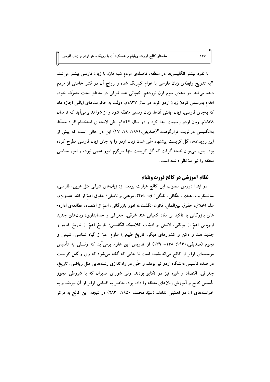با نفوذ بیشتر انگلیسیها در منطقه، فاصلهی مردم شبه قارّه با زبان فارسی بیشتر میشد. "به تدریج رابطهی زبان فارسی با عوام کمرنگ شده و رواج آن در قشر خاصّی از مردم دیده میشد. در دههی سوم قرن نوزدهم، کمپانی هند شرقی در مناطق تحت تصرّف خود، اقدام بهرسمی کردن زبان اردو کرد. در سال ۱۸۳۷م. دولت به حکومتهای ایالتی اجازه داد که بهجای فارسی، زبان ایالتی آنها، زبان رسمی منطقه شود و از شواهد برمیآید که تا سال ۱۸۳۸م. زبان اردو رسمیت پیدا کرد و در سال ۱۸۴۴م. طی لایحهای استخدام افراد مسلّط بهانگلیسی درالویت قرارگرفت."(صدیقی،١٩٧١: ١٩، ۴٧) این در حالی است که پیش از این رویدادها، گل کریست پیشنهاد ملّی شدن زبان اردو را به جای زبان فارسی مطرح کرده بود. پس، می توان نتیجه گرفت که گل کریست تنها سرگرم امور علمی نبوده و امور سیاسی منطقه را نیز مدّ نظر داشته است.

## نظام آموزشي در كالج فورت ويليام

در ابتدا دروس مصوّب این کالج عبارت بودند از: زبانهای شرقی مثل عربی، فارسی، سانسکریت، هندی، بنگالبی، تلنگی( Telengi)، مرهتی و تامیلی؛ حقوق اعمّ از فقه، هندویزم. علم اخلاق، حقوق بين|لملل، قانون انگلستان؛ امور بازرگانی، اعمّ از اقتصاد، مطالعهی اداره-های بازرگانی با تأکید بر مفاد کمپانی هند شرقی، جغرافی و حسابداری؛ زبانهای جدید اروپایی اعمّ از یونانی، لاتینی و ادبیّات کلاسیک انگلیسی؛ تاریخ اعمّ از تاریخ قدیم و جدید هند و دکن و کشورهای دیگر، تاریخ طبیعی؛ علوم اعمّ از گیاه شناسی، شیمی و نجوم (صدیقی،۱۹۶۰: ۱۳۸– ۱۳۹) از تدریس این علوم برمیآید که ولسلی به تأسیس موسسهای فراتر از کالج میاندیشیده است تا جایی که گفته میشود که وی و گیل کریست در صدد تأسیس دانشگاه اردو نیز بودند و حتّمی در راهاندازی رشتههایی مثل ریاضی، تاریخ، جغرافی، اقتصاد و غیره نیز در تکایو بودند، ولی شورای مدیران که با شروطی مجوز تأسیس کالج و آموزش زبانهای منطقه را داده بود، حاضر به اقدامی فراتر از آن نبودند و به خواستههای آن دو اهمّیتی ندادند (سیّد محمد، ۱۹۵۰: ۲۸۳) در نتیجه، این کالج به مرکز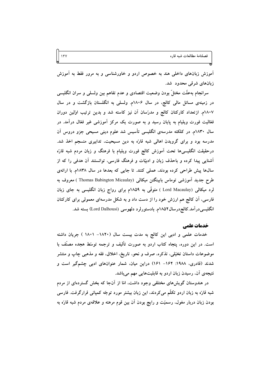آموزش زبانهای داخلی هند به خصوص اردو و خاورشناسی و به مرور فقط به آموزش زبانهای شرقی محدود شد.

سرانجام بهعلَّت مختلٍّ بودن وضعیت اقتصادی و عدم تفاهم بین ولسلَّی و سران انگلیسی در زمینهی مسائل مالی کالج، در سال ۱۸۰۶م. ولسلی به انگلستان بازگشت و در سال ١٨٠٧م. ازتعداد كاركنان كالج و مدرّسان آن نيز كاسته شد و بدين ترتيب اوّلين دوران فعّالیت فورت ویلیام به پایان رسید و به صورت یک مرکز آموزشی غیر فعّال درآمد. در سال ۱۸۳۰م. در کلکته مدرسهی انگلیسی تأسیس شد علوم دینی مسیحی جزو دروس آن مدرسه بود و برای گرویدن اهالی شبه قارّه به دین مسیحیت، تدابیری منسجم اخذ شد. درحقیقت انگلیسیها تحت اَموزش کالج فورت ویلیام با فرهنگ و زبان مردم شبه قارّه آشنایی پیدا کرده و باحذف زبان و ادبیّات و فرهنگ فارسی، توانستند آن هدفی را که از سالها پیش طراحی کرده بودند، عملی کنند. تا جایی که بعدها در سال ۱۸۳۸م. با ارائهی طرح جدید آموزشی توماس بابینگتن میکالی (Thomas Babington Micaulay ) معروف به لرد میکالی (Lord Macaulay ) متوفّی به ۱۸۵۹م برای رواج زبان انگلیسی به جای زبان فارسی، اَن کالج هم ارزش خود را از دست داد و به شکل مدرسهای معمولی برای کارکنان انگلیسیدرآمد.کالج درسال۱۸۵۲م. بادستورلرد دلهوسی (Lord Dalhousi) بسته شد.

#### خدمات علمي

خدمات علمی و ادبی این کالج به مدت بیست سال (١٨٢٠- ١٨٠١ ) جريان داشته است. در این دوره، پنجاه کتاب اردو به صورت تألیف و ترجمه توسّط هجده مصنّف با موضوعات داستان تخیّلی، تذکره، صرف و نحو، تاریخ، اخلاق، فقه و مذهبی چاپ و منتشر شدند (قادری، ۱۹۸۸: ۱۶۲– ۱۶۱) دراین میان، شمار عنوانهای ادبی چشمگیر است و نتیجهی آن، رسیدن زبان اردو به قابلیتهایی مهم میباشد.

در هندوستان گویشهای مختلفی وجود داشت، امّا از آنجا که بخش گستردهای از مردم شبه قارّه به زبان اردو تکلّم میکردند، این زبان بیشتر مورد توجّه کمپانی قرارگرفت. فارسی بودن زبان دربار مغول، رسمیّت و رایج بودن اَن بین قوم مرهته و علاقهی مردم شبه قارّه به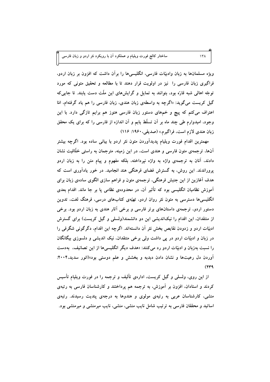ویژه مسلمانها به زبان وادبیّات فارسی، انگلیسیها را برآن داشت که افزون بر زبان اردو، فراگیری زبان فارسی را نیز در اولویت قرار دهند تا با مطالعه و تحقیق متونی که مورد توجّه اهالی شبه قارّه بود، بتوانند به تمایل و گرایشهای این ملّت دست یابند. تا جایی که گیل کریست میگوید: «اگرچه به واسطهی زبان هندی، زبان فارسی را هم یاد گرفتهام، امّا اعتراف می کنم که پیچ و خمهای دستور زبان فارسی هنوز هم برایم تازگی دارد. با این وجود، امیدوارم طی چند ماه بر آن تسلّط یابم و آن اندازه از فارسی را که برای یک محقق زبان هندي لازم است، فراگيرم.» (صديقي، ۱۹۶۰: ۱۱۶)

مهمترین اقدام فورت ویلیام پدیدآوردن متون نثر اردو با بیانی ساده بود. اگرچه بیشتر آنها، ترجمهی متون فارسی و هندی است، در این زمینه، مترجمان به راستی خلّاقیت نشان دادند، آنان به ترجمهی واژه به واژه نپرداخته، بلکه مفهوم و پیام متن را به زبان اردو پروراندند. این روش، به گسترش فضای فرهنگی هند انجامید. در خور یادآوری است که هدف آغازین از این جنبش فرهنگی، ترجمهی متون و فراهم سازی الگوی سادهی زبان برای آموزش نظامیان انگلیسی بود که تأثیر آن، در محدودهی نظامی پا بر جا ماند. اقدام بعدی انگلیسیها دسترسی به متون نثر روان اردو، تهیّدی کتابهای درسی، فرهنگ لغت، تدوین دستور اردو، ترجمهی داستانهای برتر فارسی و برخی آثار هندی به زبان اردو بود. برخی از منتقدان، این اقدام را نیکاندیشی این دو دانشمند(ولسلی و گیل کریست) برای گسترش ادبیّات اردو و زدودن نقایص بخش نثر آن دانستهاند. اگرچه این اقدام، دگرگونی شگرفی را در زبان و ادبیّات اردو در پی داشت ولی برخی متنقدان، نیک اندیشی و دلسوزی بیگانگان را نسبت بهزبان و ادبیّات اردو رد می کنند: «هدف دیگر انگلیسیها از این تصانیف، بهدست آوردن دل رعیتها و نشان دادن دبدبه و بخشش و علم دوستی بود»(انور سدید،۲۰۰۴:  $(579)$ 

از این روی، ولسلی و گیل کریست، ادارهی تألیف و ترجمه را در فورت ویلیام تأسیس کردند و استادان، افزون بر آموزش، به ترجمه هم پرداختند و کارشناسان فارسی به رتبهی منشی، کارشناسان عربی به رتبهی مولوی و هندوها به درجهی پندیت رسیدند. رتبهی اساتید و محققان فارسی به ترتیب شامل نایب منشی، منشی، نایب میرمنشی و میرمنشی بود.

 $15<sub>\lambda</sub>$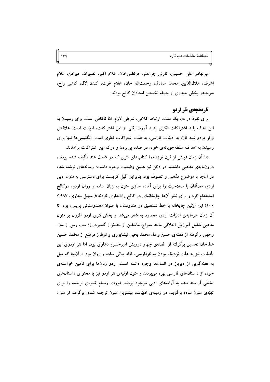میربهادر علی حسینی، تارنی چرنەمتر، مرتضی خان، غلام اکبر، نصیرالله، میرامن، غلام اشرف، هلالالدّين، محمّد صادق، رحمتالله خان. غلام غوث. كندن لال. كاشى راج. میرحیدر بخش حیدری از جمله نخستین استادان کالج بودند.

 $149$ 

### **تاریخچهی نثر اردو**

برای نفوذ در دل یک ملّت، ارتباط کلامی، شرطی لازم، امّا ناکافی است. برای رسیدن به این هدف باید اشتراکات فکری پدید اَورد؛ یکی از این اشتراکات، ادبیّات است. علاقهی وافر مردم شبه قارّه به ادبیّات فارسی، به علّت اشتراکات فطری است. انگلیسیها تنها برای رسیدن به اهداف سلطهجویانهی خود، در صدد پی بردن و درک این اشتراکات برآمدند.

«تا آن زمان (پیش از قرن نوزدهم) کتابهای نثری که در شمال هند تألیف شده بودند، درونهایهی مذهبی داشتند. در دکن نیز همین وضعیت وجود داشت؛ رسالههای نوشته شده در آنجا با موضوع مذهبی و تصوف بود. بنابراین گیل کریست برای دسترسی به متون ادبی اردو، مصنّفان با صلاحیت را برای آماده سازی متون به زبان ساده و روان اردو، درکالج استخدام کرد و برای نشر آنها چاپخانهای در کالج راهاندازی کردند»( سهیل بخاری، ۱۹۸۷: ۱۰۰) این اوّلین چایخانه با خط نستعلیق در هندوستان با عنوان «هندوستانی پریس» بود. تا آن زمان سرمایهی ادبیّات اردو، محدود به شعر میشد و بخش نثری اردو افزون بر متون مذهبی شامل آموزش اخلاقی مانند معراج|لعاشقین از بندهنواز گیسودراز؛ سب رس از ملا-وجهی برگرفته از قصّهی حسن و دل محمد یحیی نیشابوری و نوطرز مرصّع از محّمد حسین عطاخان تحسین برگرفته از قصّهی چهار درویش امیرخسرو دهلوی بود، امّا نثر اردوی این تألیفات نیز به علّت نزدیک بودن به نثرفارسی، فاقد بیانی ساده و روان بود. ازآنجا که میل به قصّهگویی از دیرباز در انسانها وجود داشته است، اردو زبانها برای تأمین خواستهی خود، از داستانهای فارسی بهره می بردند و متون اوّلیهی نثر اردو نیز با محتوای داستانهای تخیّلی آراسته شده به آرایههای ادبی موجود بودند. فورت ویلیام شیوهی ترجمه را برای تهیّهی متون ساده برگزید. در زمینهی ادبیّات، بیشترین متون ترجمه شده، برگرفته از متون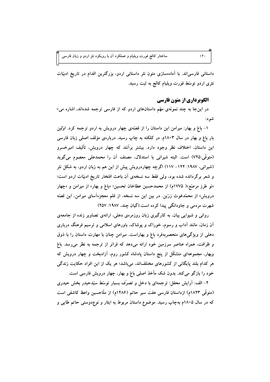داستانی فارسیاند. با آمادهسازی متون نثر داستانی اردو، بزرگترین اقدام در تاریخ ادبیّات نثری اردو توسّط فورت ویلیام کالج به ثبت رسید.

## الگوبرداري از متون فارسي

در اینجا به چند نمونهی مهّم داستانهای اردو که از فارسی ترجمه شدهاند، اشاره می-شود:

۱– باغ و بهار: میرامن این داستان را از قصّهی چهار درویش به اردو ترجمه کرد. اوّلین بار باغ و بهار در سال ۱۸۰۳م. در کلکته به چاپ رسید. دربارهی مؤلف اصلی زبان فارسی این داستان، اختلاف نظر وجود دارد. بیشتر برآنند که چهار درویش، تألیف امیرخسرو (متوفَّى:٧٢٥) است. البته شيراني با استدلال، مصنف آن را محمدعلي معصوم مي گويد (شیرانی، ۱۹۸۷: ۱۲۲– ۱۱۷) اگرچه چهاردرویش پیش از این هم به زبان اردو، به شکل نثر و شعر برگردانده شده بود، ولی فقط سه نسخهی آن باعث افتخار تاریخ ادبیّات اردو است؛ «نو طرز مرصَّع»( ۱۷۷۵م) از محمدحسین عطاخان تحسین؛ «باغ و بهار» از میرامن و «چهار درویش» از محمّدغوث زرّین. در بین این سه نسخه، از قلم معجزهآسای میرامن، این قصّه شهرت مردمی و جاودانگی پیدا کرده است.(گیان چند، ۱۹۸۷: ۲۵۷)

روانی و شیوایی بیان، به کارگیری زبان روزمرهی دهلی، ارائهی تصاویر زنده از جامعهی آن زمان، مانند آداب و رسوم، خوراک و پوشاک، باورهای اسلامی و ترسیم فرهنگ درباری دهلی از ویژگیهای منحصربهفرد باغ و بهاراست. میرامن چنان با مهارت داستان را با ذوق و ظرافت، همراه عناصر سرزمین خود ارائه میدهد که فراتر از ترجمه به نظر می رسد. باغ وبهار، مجموعهای متشکّل از پنج داستان پادشاه کشور روم، اَزادبخت و چهار درویش که هر کدام بلند پایگانی از کشورهای مختلفاند، میباشد؛ هر یک از این افراد حکایت زندگی خود را بازگو می کند. بدون شک مأخذ اصلی باغ و بهار، چهار درویش فارسی است.

۲– الف: آرایش محفل: ترجمهای با دخل و تصرّف بسیار توسّط سیّدحیدر بخش حیدری (متوفَّى ١٨٢٣م) ازداستان فارسي هفت سير حاتم (١۴٨۶م) از ملَّاحسين واعظ كاشفى است که در سال ۱۸۰۵م بهچاپ رسید. موضوع داستان مربوط به ایثار و نوعٖدوستی حاتم طایی و

 $14.$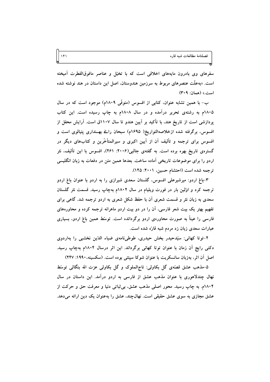سفرهای وی بادرون مایههای اخلاقی است که با تخیّل و عناصر مافوقالفطرت آمیخته است. «بهعلّت عنصرهای مربوط به سرزمین هندوستان، اصل این داستان در هند نوشته شده است.» (همان: ٣٠٩)

ب- با همین تشابه عنوان، کتابی از افسوس (متوفّی ۱۸۰۹م) موجود است که در سال ۱۸۰۵م به رشتهی تحریر درآمده و در سال ۱۸۰۸م به چاپ رسیده است. این کتاب یردازشی است از تاریخ هند، با تأکید بر آیین هندو تا سال ۱۱۰۷ق است. آرایش محفل از افسوس، برگرفته شده ازخلاصهالتواریخ( ۱۶۹۵م) سبحان رائے بهـنداری پتپالوی است و افسوس برای ترجمه و تألیف آن از آیین اکبری و سیرالمتأخَّرین و کتابهای دیگر در گسترهی تاریخ بهره برده است. به گفتهی جالبی(۲۰۰۶: ۴۶۱)، افسوس با این تألیف، نثر اردو را برای موضوعات تاریخی آماده ساخت. بعدها همین متن در دفعات به زبان انگلیسی ترجمه شده است (احتشام حسین، ۲۰۰۱: ۱۴۵).

۳-باغ اردو: میرشیرعلی افسوس، گلستان سعدی شیرازی را به اردو با عنوان باغ اردو ترجمه کرد و اوّلین بار در فورت ویلیام در سال ۱۸۰۲م بهچاپ رسید. قسمت نثر گلستان سعدی به زبان نثر و قسمت شعری آن با حفظ شکل شعری به اردو ترجمه شد. گاهی برای تفهیم بهتر یک بیت شعر فارسی، آن را در دو بیت اردو ماهرانه ترجمه کرده و محاورههای فارسی را عیناً به صورت محاورهی اردو برگردانده است. توسّط همین باغ اردو، بسیاری عبارات سعدی زبان زد مردم شبه قارّه شده است.

۴-توتا کهانی: سیّدحیدر بخش حیدری، طوطیiامهی ضیاء الدّین نخشبی را بهاردوی دکنی رایج اَن زمان با عنوان توتا کهانی برگرداند. این اثر درسال ۱۸۰۴م بهجاب رسید. اصل آن اثر، بهزبان سانسکریت با عنوان شوکا سپتتی بوده است. (سکسینه،۱۹۹۰: ۲۴۷)

۵-مذهب عشق قصَّهي گل بکاولي: تاجِالملوک و گل بکاولي عزت الله بنگالي توسَّط نهال چندلاهوری با عنوان مذهب عشق از فارسی به اردو درآمد. این داستان در سال ۱۸۰۴م. به چاپ رسید. محور اصلی مذهب عشق، بی ثباتی دنیا و معرفت حق و حرکت از عشق مجازی به سوی عشق حقیقی است. نهالچند، عشق را بهعنوان یک دین ارائه می دهد.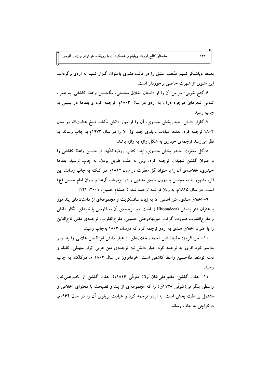بعدها دیاشنکر نسیم مذهب عشق را در قالب مثنوی باعنوان گلزار نسیم به اردو برگرداند. این مثنوی از شهرت خاصی برخوردار است.

۶-گنج خوبی: میرامن أن را از داستان اخلاق محسنی، ملّاحسین واعظ کاشفی، به همراه تمامی شعرهای موجود درآن به اردو در سال ۱۸۰۳م. ترجمه کرد و بعدها در بمبئی به ڃاپ رسيد.

۷-گلزار دانش: حیدربخش حیدری، آن را از بهار دانش تألیف شیخ عنایتالله در سال ۱۸۰۴ ترجمه کرد. بعدها عبادت بریلوی جلد اول آن را در سال ۱۹۷۳م به چاپ رساند. به نظر می رسد ترجمهی حیدری به شکل واژه به واژه باشد.

٨–گل مغفرت: حیدر بخش حیدری، ابتدا کتاب روضهالشّهدا از حسین واعظ کاشفی را با عنوان گلشن شهیدان ترجمه کرد، ولی به علّت طویل بودن، به چاپ نرسید. بعدها حیدری، خلاصهی آن را با عنوان گل مغفرت در سال ۱۸۱۲م. در کلکته به چاپ رساند. این اثر، مشهور به ده مجلس با درون مایهی مذهبی و در توصیف آلءبا و یاران امام حسین (ع) است. در سال ۱۸۴۵م. به زبان فرانسه ترجمه شد. (احتشام حسین، ۲۰۰۱: ۱۴۴)

۹– اخلاق هندی: متن اصلی اَن به زبان سانسکریت و مجموعهای از داستانهای پندآموز با عنوان هتو پدیش (Hitopadeca ) است. دو ترجمهی آن به فارسی با نامهای نگار دانش و مفرح|لقلوب صورت گرفت. میربهادرعلی حسینی، مفرح|لقلوب، ترجمهی مفتی تاج|لدّین را با عنوان اخلاق هندی به اردو ترجمه کرد که درسال ۱۸۰۳ بهچاپ رسید.

۱۰- خردافروز: حفیظالدّین احمد، خلاصهای از عیار دانش ابوالفضل علامی را به اردو بهاسم خرد افروز به ترجمه کرد. عیار دانش نیز ترجمهی متن عربی انوار سهیلی، کلیله و دمنه توسّط ملّاحسین واعظ کاشفی است. خردافروز در سال ۱۸۰۴ م. درکلکته به چاپ ر سید.

١١- هفت گلشن: مظهرعلميخان ولا( متوفَّى ١٨١۶م). هفت گلشن از ناصرعلميخان واسطی بلگرامی(متوفّی ۱۱۳۸ق) را که مجموعهای از پند و نصیحت با محتوای اخلاقی و مشتمل بر هفت بخش است، به اردو ترجمه کرد و عبادت بریلوی آن را در سال ۱۹۶۴م. درکراچی به چاپ رساند.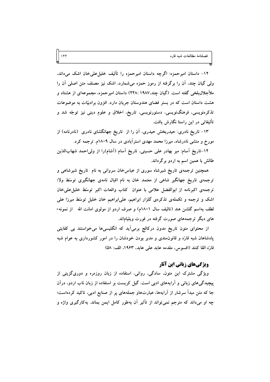١٢- داستان اميرحمزه: اگرچه داستان اميرحمزه را تأليف خليلءلميخان اشک ميداند، ولی گیان چند، آن را برگرفته از رموز حمزه میشمارد، اشک نیز مصنف متن اصلی آن را ملأجلال،بلخي گفته است. (گيان چند،١٩٨٧ :٢۴٨) داستان اميرحمزه، مجموعهاي از هشتاد و هشت داستان است که در بستر فضای هندوستان جریان دارد. افزون برادبیّات به موضوعات تذکرهنویسی، فرهنگنویسی، دستورنویسی، تاریخ، اخلاق و علوم دینی نیز توجّه شد و تألیفاتی در این راستا نگارش یافت.

۱۳– تاریخ نادری: حیدربخش حیدری، آن را از تاریخ جهانگشای نادری (نادرنامه) از مورخ و منشی نادرشاه، میرزا محمد مهدی استرآبادی در سال ۱۸۰۹م. ترجمه کرد.

۱۴-تاریخ اَسام: میر بهادر علی حسینی، تاریخ اَسام (اَشام)را از ولیاحمد شهابالدّین طالش با همین اسم به اردو برگرداند.

همچنین ترجمهی تاریخ شیرشاه سوری از عباس خان سروانی به نام تاریخ شیرشاهی و ترجمهی تاریخ جهانگیر شاهی از معتمد خان به نام اقبال نامهی جهانگیری توسّط ولا؛ ترجمهى اكبرنامه از ابوالفضل علامى با عنوان كتاب واقعات اكبر توسّط خليل على خان اشک و ترجمه و تکملهی تذکرهی گلزار ابراهیم، علی|براهیم خان خلیل توسّط میرزا علی لطف بهاسم گلشن هند (تاليف سال ١٨٠١م) و صرف اردو از مولوي امانت الله از نمونه-های دیگر ترجمههای صورت گرفته در فورت ویلیاماند.

از محتوای متون تاریخ مدون درکالج برمیآید که انگلیسیها می خواستند بی کفایتی پادشاهان شبه قارّه و قانون.مندی و مدبر بودن خودشان را در امور کشورداری به عوام شبه قارَه القا كنند (افسوس، مقدمه عابد على عابد، ١٩۶٣، الف: ٥٨)

## **ویژگیهای زبانی این آثار**

ویژگی مشترک این متون، سادگی، روانی، استفاده از زبان روزمره و دوریگزینی از پیچیدگیهای زبانی و آرایههای ادبی است. گیل کریست بر استفاده از زبان ناب اردو، درآن جا که متن مبدأ سرشار از آرایهها، عبارتهاو جملههای پر از صنایع ادبی، تاکید کردهاست؛ چه او میداند که مترجم نمیتواند از تأثیر آن بهطور کامل ایمن بماند. بهکارگیری واژه و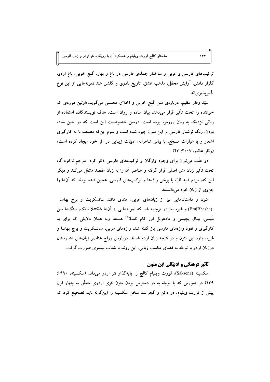ترکیبهای فارسی و عربی و ساختار جملهی فارسی در باغ و بهار، گنج خوبی، باغ اردو، گلزار دانش، آرایش محفل، مذهب عشق، تاریخ نادری و گلشن هند نمونههایی از این نوع تأثير يذير ياند.

سیّد وقار عظیم، دربارهی متن گنج خوبی و اخلاق محسنی میگوید:«اوّلین موردی که خواننده را تحت تأثیر قرار می دهد، بیان ساده و روان است. هدف نویسندگان، استفاده از زبانی نزدیک به زبان روزمره بوده است. دومین خصوصیت این است که در حین ساده بودن، رنگ نوشتار فارسی بر این متون چیره شده است و سوم این که مصنف با به کارگیری اشعار و یا عبارات مسجّع، با بیانی شاعرانه، ادبیّات زیبایی در اثر خود ایجاد کرده است» (وقار عظیم، ۲۰۰۷: ۴۳)

دو علَّت می توان برای وجود واژگان و ترکیبهای فارسی ذکر کرد: مترجم ناخودآگاه تحت تأثیر زبان متن اصلی قرار گرفته و عناصر آن را به زبان مقصد منتقل می کند و دیگر این که، مردم شبه قارّه با برخی واژهها و ترکیبهای فارسی، عجین شده بودند که آنها را جزوی از زبان خود میدانستند.

متون و داستانهایی نیز از زبانهای عربی، هندی مانند سانسکریت و برج بهاسا (BrajBhasha) و غیره بهاردو ترجمه شد که نمونههایی از آنها شکنتلا ناتک، سنگها سن بتّیسی، بیتال پچیسی و مادهونل اور کام کندلا" هستند وبه همان دلایلی که برای به کارگیری و نفوذ واژههای فارسی باز گفته شد، واژههای عربی، سانسکریت و برج بهاسا و غیره، وارد این متون و در نتیجه زبان اردو شدند. دربارهی رواج عناصر زبانهای هندوستان درزبان اردو با توجّه به فضای مناسب زبانی، این روند با شتاب بیشتری صورت گرفت.

## **تاثیر فرهنگی و ادبیّاتی این متون**

سکسینه (Saksena)، فورت ویلیام کالج را پایهگذار نثر اردو میداند (سکسینه، ۱۹۹۰: ۲۳۹) در صورتی که با توجّه به در دسترس بودن متون نثری اردوی متعلّق به چهار قرن پیش از فورت ویلیام، در دکن و گجرات، سخن سکسینه را اینگونه باید تصحیح کرد که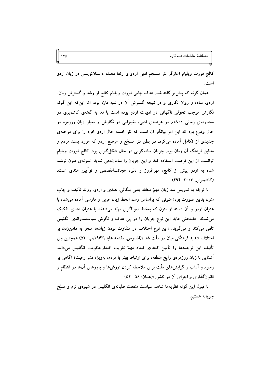کالج فورت ویلیام آغازگر نثر منسجم ادبی اردو و ارتقا دهنده داستاننویسی در زبان اردو است.

همان گونه که پیش تر گفته شد، هدف نهایی فورت ویلیام کالج از رشد و گسترش زبان-اردو، ساده و روان نگاری و در نتیجه گسترش آن در شبه قارّه بود، امّا این که این گونه نگارش موجب تحوّلی ناگهانی در ادبیّات اردو بوده است یا نه، به گفتهی کاشمیری در محدودهی زمانی ۱۸۰۰م در عرصهی ادبی، تغییراتی در نگارش و معیار زبان روزمره در حال وقوع بود که این امر بیانگر آن است که نثر خسته حال اردو خود را برای مرحلهی جدیدی از تکامل آماده می کرد. در بطن نثر مسجّع و مرصع اردو که مورد پسند مردم و مطابق فرهنگ اَن زمان بود. جریان سادهگویی در حال شکل گیری بود. کالج فورت ویلیام توانست از این فرصت استفاده کند و این جریان را ساماندهی نماید. نمونهی متون نوشته شده به اردو پیش از کالج، مهرافروز و دلبر، عجائبالقصص و نواَیین هندی است. (کاشمیری، ۲۰۰۳: ۴۹۴)

با توجّه به تدریس سه زبان مهمّ منطقه یعنی بنگالی، هندی و اردو، روند تألیف و چاپ متون بدین صورت بود؛ متونی که براساس رسم الخط زبان عربی و فارسی آماده میشد، با عنوان اردو و اَن دسته از متون که بهخط دیوناگری تهیّه میشدند با عنوان هندی تفکیک میشدند. عابدعلی عابد این نوع جریان را در پی هدف و نگرش سیاستمدرانهی انگلیس تلقی می کند و میگوید: «این نوع اختلاف در متفاوت بودن زبانها منجر به دامنزدن بر اختلاف شدید فرهنگ<sub>ی</sub> میان دو ملّت شد.»(افسوس، مقدمه عابد،۱۹۶۳،ب: ۵۲) همچنین وی تأليف اين ترجمهها را تأمين كنندهى ابعاد مهمّ تقويت اقتدارحكومت انگليس مىءاند. آشنایی با زبان روزمرهی رایج منطقه، برای ارتباط بهتر با مردم، بهویژه قشر رعیت؛ آگاهی بر رسوم و آداب و گرایشهای ملّت برای ملاحظه کردن ارزشها و باورهای آنها در انتظام و قانونگذاری و اجرای آن در کشور»(همان: ۵۶– ۵۲)

با قبول این گونه نظریهها شاهد سیاست منفعت طلبانهی انگلیس در شیوهی نرم و صلح جويانه هستيم.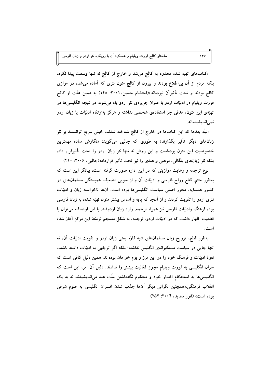«کتابهای تهیه شده محدود به کالج می شد و خارج از کالج نه تنها وسعت پیدا نکرد. بلکه مردم از آن بی|طلاع بودند و بیرون از کالج متون نثری که آماده میشد، در موازی کالج بودند و تحت تأثیراَن نبودهاند»(احتشام حسین، ۲۰۰۱: ۱۴۸) به همین علّت از کالج فورت ویلیام در ادبیّات اردو با عنوان جزیرهی نثر اردو یاد میشود. در نتیجه انگلیسیها در تهیّهی این متون. هدفی جز استفادهی شخصی نداشته و هرگز بهارتقاء ادبیّات یا زبان اردو نمی اندیشیده اند.

البتّه بعدها که این کتابها در خارج از کالج شناخته شدند، خیلی سریع توانستند بر نثر زبانهای دیگر تأثیر بگذارند؛ به طوری که جالبی میگوید: «نگارش ساده مهمترین خصوصیت این متون بودهاست و این روش نه تنها نثر زبان اردو را تحت تأثیرقرار داد، بلکه نثر زبانهای بنگالی، مرهتی و هندی را نیز تحت تأثیر قرارداد»(جالبی، ۲۰۰۶: ۴۱۰)

نوع ترجمه و رعایت موازینی که در این اداره صورت گرفته است، بیانگر این است که بهطور حتم، قطع رواج فارسی و ادبیّات آن و از سویی تضعیف همبستگی مسلمانهای دو کشور همسایه، محور اصلی سیاست انگلیسیها بوده است. آنها ناخواسته زبان و ادبیّات نثری اردو را تقویت کردند و از آنجا که پایه و اساس بیشتر متون تهیّه شده، به زبان فارسی بود، فرهنگ وادبیّات فارسی نیز همراه ترجمه، وارد زبان اردوشد. با این اوصاف می توان با قطعیت اظهار داشت که در ادبیّات اردو، ترجمه، به شکل منسجم توسّط این مرکز آغاز شده است.

بهطور قطع، ترویج زبان مسلمانهای شبه قارّه یعنی زبان اردو و تقویت ادبیّات آن، نه تنها جایی در سیاست مستکبرانهی انگلیس نداشته؛ بلکه اگر توجّهی به ادبیّات داشته باشند، نفوذ ادبیّات و فرهنگ خود را در این مرز و بوم خواهان بودهاند. همین دلیل کافی است که سران انگلیسی به فورت ویلیام مجوز فعّالیت بیشتر را ندادند. دلیل آن امر، این است که انگلیسیها به استحکام اقتدار خود و محکوم نگهداشتن ملّت هند می!ندیشیدند نه به یک انقلاب فرهنگی «همچنین نگرانی دیگر آنها جذب شدن افسران انگلیسی به علوم شرقی بوده است» (انور سدید، ۲۰۰۴: ۲۵۲)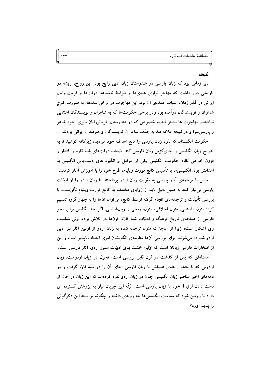#### نتتحه

دیر زمانی بود که زبان پارسی در هندوستان زبان ادبی رایج بود. این رواج، ریشه در تاریخی دور داشت که مهاجر نوازی هندیها و شرایط نامساعد دولتها و فرمان روایان ایرانی در گذر زمان، اسباب عمدهی آن بود. این مهاجرت در برخی سدهها، به صورت کوچ شاعران و نویسندگان درآمده بود ودر برخی حکومتها که به شاعران و نویسندگان اعتنایی نداشتند، مهاجرت ها بیشتر شد.به خصوص که در هندوستان، فرمانروایان بابری، خود شاعر و پارسی سرا و در نتیجه علاقه مند به جذب شاعران، نویسندگان و هنرمندان ایرانی بودند.

حکومت انگلستان که نفوذ زبان پارسی را مانع اهداف خود میدید. زیرکانه کوشید تا به تدریج زبان انگلیسی را جایگزین زبان فارسی کند. ضعف دولتهای شبه قاره و اقتدار و فزون خواهی نظام حکومت انگلیس یکی از عوامل و انگیزه های دست،یابی انگلیس به اهدافش بود. انگلیسیها با تأسیس کالج فورت ویلیام، طرح خود را با آموزش آغاز کردند.

سپس با ترجمهی آثار پارسی به تقویت زبان اردو پرداختند تا زبان اردو را از ادبیّات پارسی بی نیاز کنند.به همین دلیل باید از زوایای مختلف به کالج فورت ویلیام نگریست. با بررسی تألیفات و ترجمههای انجام گرفته توسّط کالج، میïوان اَنها را به چهار گروه تقسیم کرد: متون داستانی، متون اخلاقی، متونتاریخی و زبانشناسی. اگر چه انگلیس برای محو فارسی از صفحهی تاریخ فرهنگ و ادبیّات شبه قارّه، قرنها در تلاش بوده، ولی شکست وی اَشکار است؛ زیرا از اَنجا که متون ترجمه شده به زبان اردو از اوّلین آثار نثر ادبی اردو شمرده میشوند، برای بررسی آنها مطالعهی الگویشان امری اجتنابناپذیر است و این از افتخارات فارسی زبانان است که اولین خشت بنای ادبیّات منثور اردو، آثار فارسی است.

مسئلهای که پس از گذشت دو قرن قابل بررسی است، تحوّل در زبان اردوست. زبان اردویی که با حفظ رابطهی عمیقش با زبان فارسی، جای آن را در شبه قارّه گرفت و در دهههای اخیر عناصر زبان انگلیسی چنان در زبان اردو نفوذ کردهاند که این زبان در حال از دست دادن ارتباط خود با زبان پارسی است. البتّه این جریان نیاز به پژوهش گسترده ای دارد تا روشن شود که سیاست انگلیسی ها چه روندی داشته و چگونه توانسته این دگرگونی را يديد آورد؟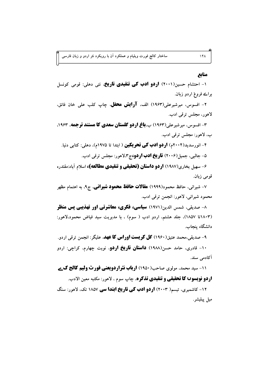## منابع

۱- احتشام حسین(۲۰۰۱) **اردو ادب کی تنقیدی تاریخ**، نئی دهلی: قومی کونسل براے فروغ اردو زبان.

۲- افسوس، میرشیرعلی(۱۹۶۳) الف، **آرایش محفل**، چاپ کلب علی خان فائق، لاهور، مجلس ترقی ادب.

**۳- افسوس، میرشیرعلی(۱۹۶۳) ب،باغ اردو گلستان سعدی کا مستند ترجمه. ۱۹۶۳.** ب، لاهور: مجلس ترقی ادب.

۴- انورسدید(۲۰۰۴م) **اردو ادب کی تحریکین** ( ابتدا تا ۱۹۷۵م)، دهلی: کتابی دنیا. ۵- جالبي، جميل(۲۰۰۶) **تاريخ ادب اردو،**ج۳،لاهور: مجلس ترقي ادب.

۶- سهیل بخاری(۱۹۸۷) **اردو داستان (تحقیقی و تنقیدی مطالعه)،** اسلام آباد:مقتدره قومی زبان.

۷- شیرانی، حافظ محمود(۱۹۹۹) **مقالات حافظ محمود شیرانی**، ج۹, به اهتمام مظهر محمود شيراني، لاهور: انجمن ترقى ادب.

**۸- صدیقی، شمس الدین(۱۹۷۱) <b>سیاسی، فکری، معاشرتی اور تهذیبی پس منظر** (١٨٠٣تا ١٨٥٧)، جلد هشتم، اردو ادب ( سوم) ، با مديريت سيد فياض محمود،لاهور: دانشگاه پنجاب.

۹- صديقي،محمد عتيق(١٩۶٠) **كل كريست اوراس كا عهد**، عليگر: انجمن ترقي اردو. ۱۰- قادری، حامد حسن(۱۹۸۸) **داستان تاریخ اردو**، نوبت چهارم، کراچی: اردو آکادمی سند.

**11- سید محمد، مولوی صاحب(۱۹۵۰) ارباب نثراردویعنی فورٹ ولیم کالج ک ے اردو نویسو∪ کا تحقیقی و تنقیدی تذکره**، چاپ سوم ، لاهور: مکتبه معین الادب.

۱۲- کاشمیری، تبسم( ۲۰۰۳) **اردو ادب کی تاریخ ابتدا سی** ۱۸۵۷ تک، لاهور: سنگ ميل پبليشر.

 $1f\Lambda$